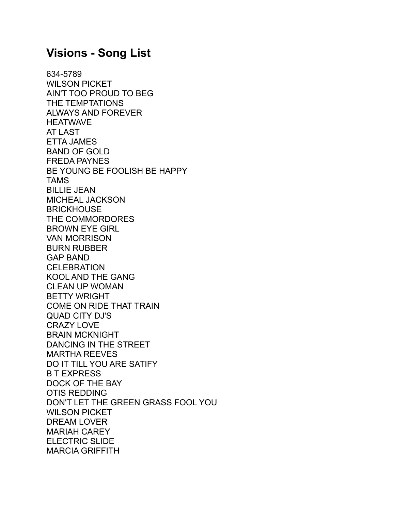## **Visions - Song List**

634-5789 WILSON PICKET AIN'T TOO PROUD TO BEG THE TEMPTATIONS ALWAYS AND FOREVER **HEATWAVE** AT LAST ETTA JAMES BAND OF GOLD FREDA PAYNES BE YOUNG BE FOOLISH BE HAPPY TAMS BILLIE JEAN MICHEAL JACKSON **BRICKHOUSE** THE COMMORDORES BROWN EYE GIRL VAN MORRISON BURN RUBBER GAP BAND **CELEBRATION** KOOL AND THE GANG CLEAN UP WOMAN BETTY WRIGHT COME ON RIDE THAT TRAIN QUAD CITY DJ'S CRAZY LOVE BRAIN MCKNIGHT DANCING IN THE STREET MARTHA REEVES DO IT TILL YOU ARE SATIFY B T EXPRESS DOCK OF THE BAY OTIS REDDING DON'T LET THE GREEN GRASS FOOL YOU WILSON PICKET DREAM LOVER MARIAH CAREY ELECTRIC SLIDE MARCIA GRIFFITH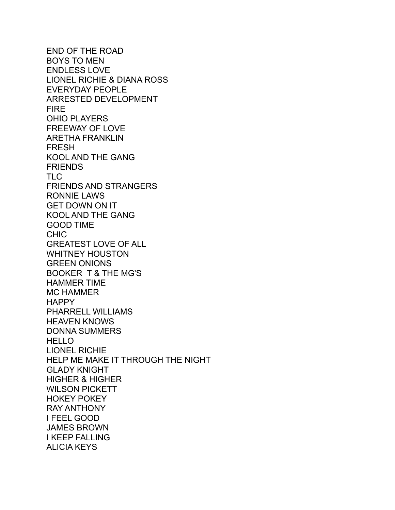END OF THE ROAD BOYS TO MEN ENDLESS LOVE LIONEL RICHIE & DIANA ROSS EVERYDAY PEOPLE ARRESTED DEVELOPMENT FIRE OHIO PLAYERS FREEWAY OF LOVE ARETHA FRANKLIN FRESH KOOL AND THE GANG **FRIENDS** TLC FRIENDS AND STRANGERS RONNIE LAWS GET DOWN ON IT KOOL AND THE GANG GOOD TIME CHIC GREATEST LOVE OF ALL WHITNEY HOUSTON GREEN ONIONS BOOKER T & THE MG'S HAMMER TIME MC HAMMER **HAPPY** PHARRELL WILLIAMS HEAVEN KNOWS DONNA SUMMERS HELLO LIONEL RICHIE HELP ME MAKE IT THROUGH THE NIGHT GLADY KNIGHT HIGHER & HIGHER WILSON PICKETT HOKEY POKEY RAY ANTHONY I FEEL GOOD JAMES BROWN I KEEP FALLING ALICIA KEYS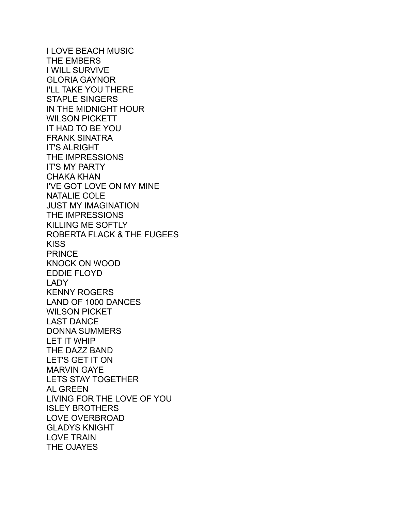I LOVE BEACH MUSIC THE EMBERS I WILL SURVIVE GLORIA GAYNOR I'LL TAKE YOU THERE STAPLE SINGERS IN THE MIDNIGHT HOUR WILSON PICKETT IT HAD TO BE YOU FRANK SINATRA IT'S ALRIGHT THE IMPRESSIONS IT'S MY PARTY CHAKA KHAN I'VE GOT LOVE ON MY MINE NATALIE COLE JUST MY IMAGINATION THE IMPRESSIONS KILLING ME SOFTLY ROBERTA FLACK & THE FUGEES **KISS PRINCE** KNOCK ON WOOD EDDIE FLOYD LADY KENNY ROGERS LAND OF 1000 DANCES WILSON PICKET LAST DANCE DONNA SUMMERS LET IT WHIP THE DAZZ BAND LET'S GET IT ON MARVIN GAYE LETS STAY TOGETHER AL GREEN LIVING FOR THE LOVE OF YOU ISLEY BROTHERS LOVE OVERBROAD GLADYS KNIGHT LOVE TRAIN THE OJAYES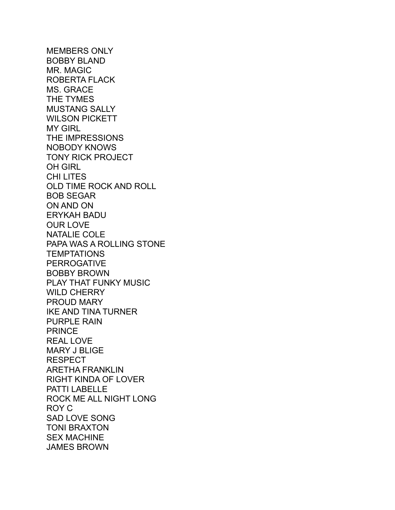MEMBERS ONLY BOBBY BLAND MR. MAGIC ROBERTA FLACK MS. GRACE THE TYMES MUSTANG SALLY WILSON PICKETT MY GIRL THE IMPRESSIONS NOBODY KNOWS TONY RICK PROJECT OH GIRL CHI LITES OLD TIME ROCK AND ROLL BOB SEGAR ON AND ON ERYKAH BADU OUR LOVE NATALIE COLE PAPA WAS A ROLLING STONE **TEMPTATIONS** PERROGATIVE BOBBY BROWN PLAY THAT FUNKY MUSIC WILD CHERRY PROUD MARY IKE AND TINA TURNER PURPLE RAIN PRINCE REAL LOVE MARY J BLIGE RESPECT ARETHA FRANKLIN RIGHT KINDA OF LOVER PATTI LABELLE ROCK ME ALL NIGHT LONG ROY C SAD LOVE SONG TONI BRAXTON SEX MACHINE JAMES BROWN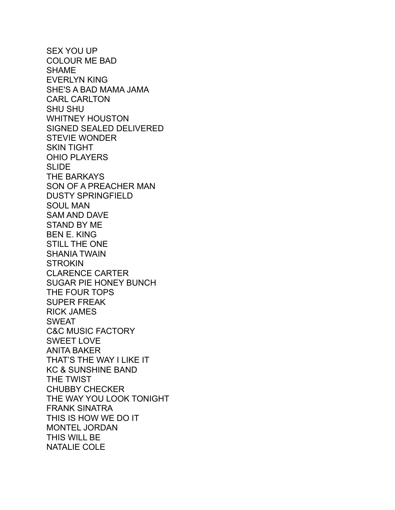SEX YOU UP COLOUR ME BAD SHAME EVERLYN KING SHE'S A BAD MAMA JAMA CARL CARLTON SHU SHU WHITNEY HOUSTON SIGNED SEALED DELIVERED STEVIE WONDER SKIN TIGHT OHIO PLAYERS SLIDE THE BARKAYS SON OF A PREACHER MAN DUSTY SPRINGFIELD SOUL MAN SAM AND DAVE STAND BY ME BEN E. KING STILL THE ONE SHANIA TWAIN **STROKIN** CLARENCE CARTER SUGAR PIE HONEY BUNCH THE FOUR TOPS SUPER FREAK RICK JAMES SWEAT C&C MUSIC FACTORY SWEET LOVE ANITA BAKER THAT'S THE WAY I LIKE IT KC & SUNSHINE BAND THE TWIST CHUBBY CHECKER THE WAY YOU LOOK TONIGHT FRANK SINATRA THIS IS HOW WE DO IT MONTEL JORDAN THIS WILL BE NATALIE COLE